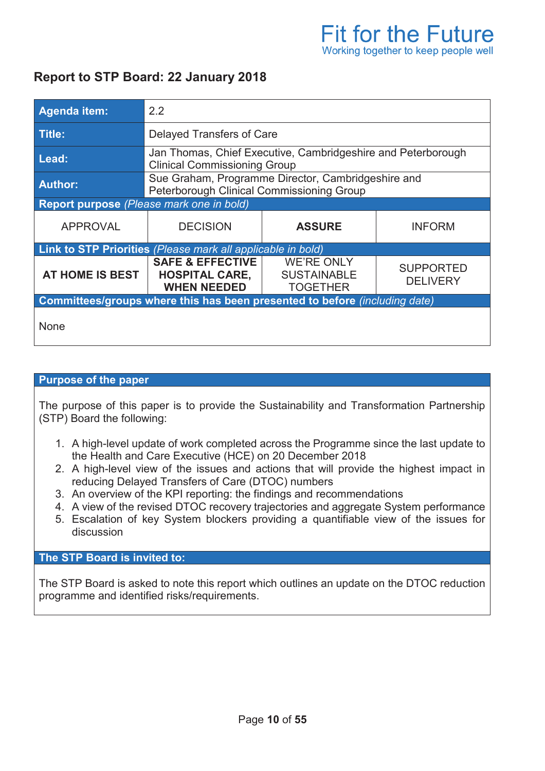# **Report to STP Board: 22 January 2018**

| Agenda item:                                                               | 2.2                                                                                                 |                                                            |                                     |  |  |  |
|----------------------------------------------------------------------------|-----------------------------------------------------------------------------------------------------|------------------------------------------------------------|-------------------------------------|--|--|--|
| Title:                                                                     | <b>Delayed Transfers of Care</b>                                                                    |                                                            |                                     |  |  |  |
| Lead:                                                                      | Jan Thomas, Chief Executive, Cambridgeshire and Peterborough<br><b>Clinical Commissioning Group</b> |                                                            |                                     |  |  |  |
| <b>Author:</b>                                                             | Sue Graham, Programme Director, Cambridgeshire and<br>Peterborough Clinical Commissioning Group     |                                                            |                                     |  |  |  |
| Report purpose (Please mark one in bold)                                   |                                                                                                     |                                                            |                                     |  |  |  |
| <b>APPROVAL</b>                                                            | <b>DECISION</b>                                                                                     | <b>ASSURE</b>                                              | <b>INFORM</b>                       |  |  |  |
| <b>Link to STP Priorities</b> (Please mark all applicable in bold)         |                                                                                                     |                                                            |                                     |  |  |  |
| AT HOME IS BEST                                                            | <b>SAFE &amp; EFFECTIVE</b><br><b>HOSPITAL CARE,</b><br><b>WHEN NEEDED</b>                          | <b>WE'RE ONLY</b><br><b>SUSTAINABLE</b><br><b>TOGETHER</b> | <b>SUPPORTED</b><br><b>DELIVERY</b> |  |  |  |
| Committees/groups where this has been presented to before (including date) |                                                                                                     |                                                            |                                     |  |  |  |
| None                                                                       |                                                                                                     |                                                            |                                     |  |  |  |

#### **Purpose of the paper**

The purpose of this paper is to provide the Sustainability and Transformation Partnership (STP) Board the following:

- 1. A high-level update of work completed across the Programme since the last update to the Health and Care Executive (HCE) on 20 December 2018
- 2. A high-level view of the issues and actions that will provide the highest impact in reducing Delayed Transfers of Care (DTOC) numbers
- 3. An overview of the KPI reporting: the findings and recommendations
- 4. A view of the revised DTOC recovery trajectories and aggregate System performance
- 5. Escalation of key System blockers providing a quantifiable view of the issues for discussion

#### **The STP Board is invited to:**

The STP Board is asked to note this report which outlines an update on the DTOC reduction programme and identified risks/requirements.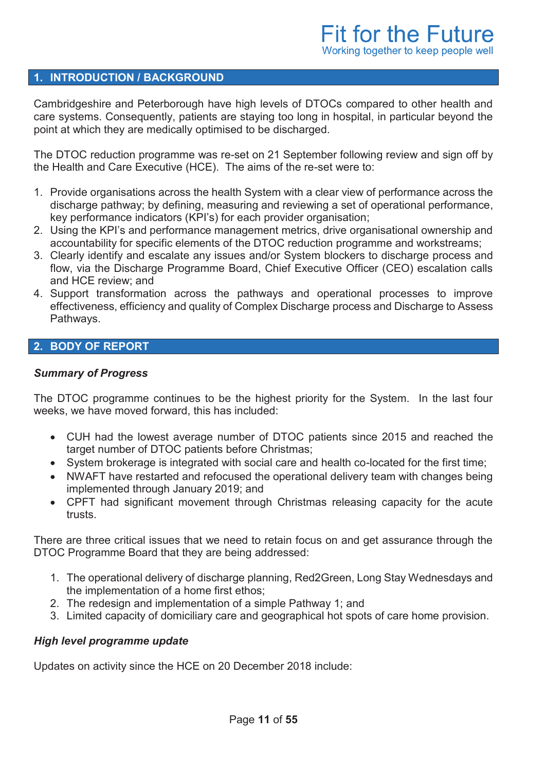#### **1. INTRODUCTION / BACKGROUND**

Cambridgeshire and Peterborough have high levels of DTOCs compared to other health and care systems. Consequently, patients are staying too long in hospital, in particular beyond the point at which they are medically optimised to be discharged.

The DTOC reduction programme was re-set on 21 September following review and sign off by the Health and Care Executive (HCE). The aims of the re-set were to:

- 1. Provide organisations across the health System with a clear view of performance across the discharge pathway; by defining, measuring and reviewing a set of operational performance, key performance indicators (KPI's) for each provider organisation;
- 2. Using the KPI's and performance management metrics, drive organisational ownership and accountability for specific elements of the DTOC reduction programme and workstreams;
- 3. Clearly identify and escalate any issues and/or System blockers to discharge process and flow, via the Discharge Programme Board, Chief Executive Officer (CEO) escalation calls and HCE review; and
- 4. Support transformation across the pathways and operational processes to improve effectiveness, efficiency and quality of Complex Discharge process and Discharge to Assess Pathways.

### **2. BODY OF REPORT**

#### *Summary of Progress*

The DTOC programme continues to be the highest priority for the System. In the last four weeks, we have moved forward, this has included:

- · CUH had the lowest average number of DTOC patients since 2015 and reached the target number of DTOC patients before Christmas;
- · System brokerage is integrated with social care and health co-located for the first time;
- · NWAFT have restarted and refocused the operational delivery team with changes being implemented through January 2019; and
- · CPFT had significant movement through Christmas releasing capacity for the acute trusts.

There are three critical issues that we need to retain focus on and get assurance through the DTOC Programme Board that they are being addressed:

- 1. The operational delivery of discharge planning, Red2Green, Long Stay Wednesdays and the implementation of a home first ethos;
- 2. The redesign and implementation of a simple Pathway 1; and
- 3. Limited capacity of domiciliary care and geographical hot spots of care home provision.

#### *High level programme update*

Updates on activity since the HCE on 20 December 2018 include: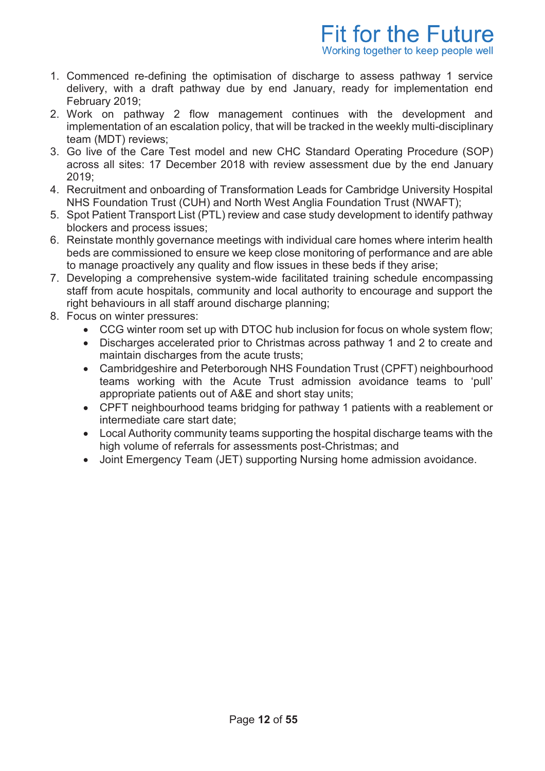- 1. Commenced re-defining the optimisation of discharge to assess pathway 1 service delivery, with a draft pathway due by end January, ready for implementation end February 2019;
- 2. Work on pathway 2 flow management continues with the development and implementation of an escalation policy, that will be tracked in the weekly multi-disciplinary team (MDT) reviews;
- 3. Go live of the Care Test model and new CHC Standard Operating Procedure (SOP) across all sites: 17 December 2018 with review assessment due by the end January  $2019$
- 4. Recruitment and onboarding of Transformation Leads for Cambridge University Hospital NHS Foundation Trust (CUH) and North West Anglia Foundation Trust (NWAFT);
- 5. Spot Patient Transport List (PTL) review and case study development to identify pathway blockers and process issues;
- 6. Reinstate monthly governance meetings with individual care homes where interim health beds are commissioned to ensure we keep close monitoring of performance and are able to manage proactively any quality and flow issues in these beds if they arise;
- 7. Developing a comprehensive system-wide facilitated training schedule encompassing staff from acute hospitals, community and local authority to encourage and support the right behaviours in all staff around discharge planning;
- 8. Focus on winter pressures:
	- · CCG winter room set up with DTOC hub inclusion for focus on whole system flow;
	- · Discharges accelerated prior to Christmas across pathway 1 and 2 to create and maintain discharges from the acute trusts;
	- · Cambridgeshire and Peterborough NHS Foundation Trust (CPFT) neighbourhood teams working with the Acute Trust admission avoidance teams to 'pull' appropriate patients out of A&E and short stay units;
	- · CPFT neighbourhood teams bridging for pathway 1 patients with a reablement or intermediate care start date;
	- · Local Authority community teams supporting the hospital discharge teams with the high volume of referrals for assessments post-Christmas; and
	- · Joint Emergency Team (JET) supporting Nursing home admission avoidance.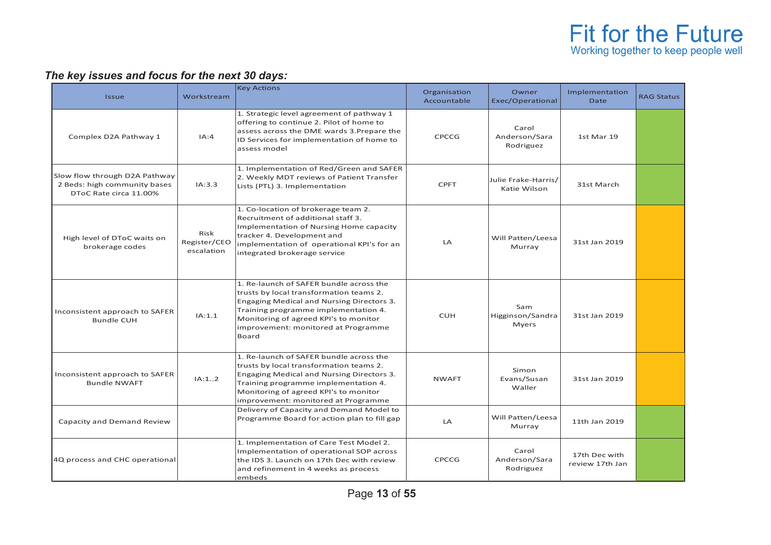# *The key issues and focus for the next 30 days:*

| <b>Issue</b>                                                                            | Workstream                         | <b>Key Actions</b>                                                                                                                                                                                                                                               | Organisation<br>Accountable | Owner<br>Exec/Operational               | Implementation<br><b>Date</b>    | <b>RAG Status</b> |
|-----------------------------------------------------------------------------------------|------------------------------------|------------------------------------------------------------------------------------------------------------------------------------------------------------------------------------------------------------------------------------------------------------------|-----------------------------|-----------------------------------------|----------------------------------|-------------------|
| Complex D2A Pathway 1                                                                   | IA:4                               | 1. Strategic level agreement of pathway 1<br>offering to continue 2. Pilot of home to<br>assess across the DME wards 3. Prepare the<br>ID Services for implementation of home to<br>assess model                                                                 | CPCCG                       | Carol<br>Anderson/Sara<br>Rodriguez     | 1st Mar 19                       |                   |
| Slow flow through D2A Pathway<br>2 Beds: high community bases<br>DToC Rate circa 11.00% | IA:3.3                             | 1. Implementation of Red/Green and SAFER<br>2. Weekly MDT reviews of Patient Transfer<br>Lists (PTL) 3. Implementation                                                                                                                                           | <b>CPFT</b>                 | Julie Frake-Harris/<br>Katie Wilson     | 31st March                       |                   |
| High level of DToC waits on<br>brokerage codes                                          | Risk<br>Register/CEO<br>escalation | 1. Co-location of brokerage team 2.<br>Recruitment of additional staff 3.<br><b>Implementation of Nursing Home capacity</b><br>tracker 4. Development and<br>implementation of operational KPI's for an<br>integrated brokerage service                          | LA                          | Will Patten/Leesa<br>Murray             | 31st Jan 2019                    |                   |
| Inconsistent approach to SAFER<br><b>Bundle CUH</b>                                     | IA:1.1                             | 1. Re-launch of SAFER bundle across the<br>trusts by local transformation teams 2.<br>Engaging Medical and Nursing Directors 3.<br>Training programme implementation 4.<br>Monitoring of agreed KPI's to monitor<br>improvement: monitored at Programme<br>Board | <b>CUH</b>                  | Sam<br>Higginson/Sandra<br><b>Myers</b> | 31st Jan 2019                    |                   |
| Inconsistent approach to SAFER<br><b>Bundle NWAFT</b>                                   | IA:12                              | 1. Re-launch of SAFER bundle across the<br>trusts by local transformation teams 2.<br>Engaging Medical and Nursing Directors 3.<br>Training programme implementation 4.<br>Monitoring of agreed KPI's to monitor<br>improvement: monitored at Programme          | <b>NWAFT</b>                | Simon<br>Evans/Susan<br>Waller          | 31st Jan 2019                    |                   |
| Capacity and Demand Review                                                              |                                    | Delivery of Capacity and Demand Model to<br>Programme Board for action plan to fill gap                                                                                                                                                                          | LA                          | Will Patten/Leesa<br>Murray             | 11th Jan 2019                    |                   |
| 4Q process and CHC operational                                                          |                                    | 1. Implementation of Care Test Model 2.<br>Implementation of operational SOP across<br>the IDS 3. Launch on 17th Dec with review<br>and refinement in 4 weeks as process<br>embeds                                                                               | <b>CPCCG</b>                | Carol<br>Anderson/Sara<br>Rodriguez     | 17th Dec with<br>review 17th Jan |                   |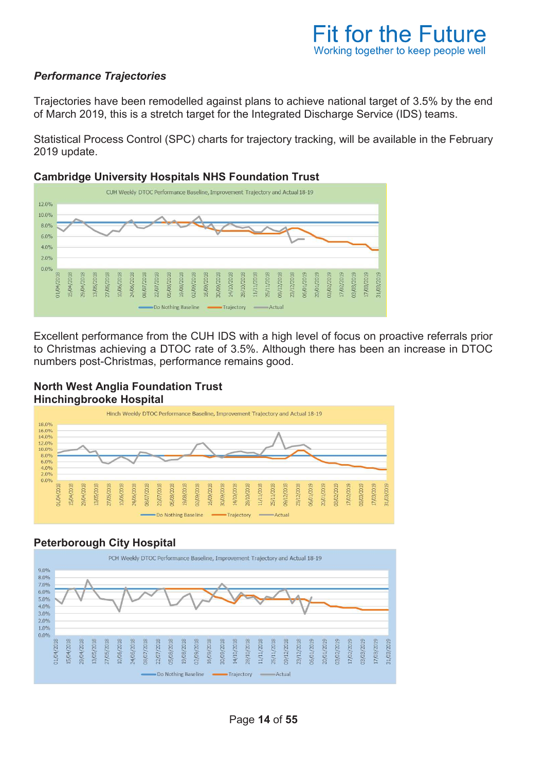# **Fit for the Future** Working together to keep people well

### *Performance Trajectories*

Trajectories have been remodelled against plans to achieve national target of 3.5% by the end of March 2019, this is a stretch target for the Integrated Discharge Service (IDS) teams.

Statistical Process Control (SPC) charts for trajectory tracking, will be available in the February 2019 update.

#### **Cambridge University Hospitals NHS Foundation Trust**



Excellent performance from the CUH IDS with a high level of focus on proactive referrals prior to Christmas achieving a DTOC rate of 3.5%. Although there has been an increase in DTOC numbers post-Christmas, performance remains good.

#### **North West Anglia Foundation Trust Hinchingbrooke Hospital**



## **Peterborough City Hospital**

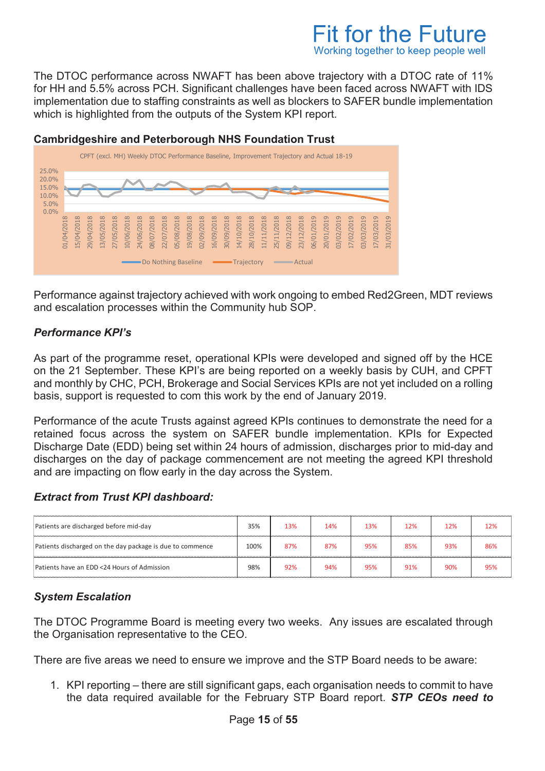# **Fit for the Future** Working together to keep people well

The DTOC performance across NWAFT has been above trajectory with a DTOC rate of 11% for HH and 5.5% across PCH. Significant challenges have been faced across NWAFT with IDS implementation due to staffing constraints as well as blockers to SAFER bundle implementation which is highlighted from the outputs of the System KPI report.

# **Cambridgeshire and Peterborough NHS Foundation Trust**



Performance against trajectory achieved with work ongoing to embed Red2Green, MDT reviews and escalation processes within the Community hub SOP.

## *Performance KPI's*

As part of the programme reset, operational KPIs were developed and signed off by the HCE on the 21 September. These KPI's are being reported on a weekly basis by CUH, and CPFT and monthly by CHC, PCH, Brokerage and Social Services KPIs are not yet included on a rolling basis, support is requested to com this work by the end of January 2019.

Performance of the acute Trusts against agreed KPIs continues to demonstrate the need for a retained focus across the system on SAFER bundle implementation. KPIs for Expected Discharge Date (EDD) being set within 24 hours of admission, discharges prior to mid-day and discharges on the day of package commencement are not meeting the agreed KPI threshold and are impacting on flow early in the day across the System.

## *Extract from Trust KPI dashboard:*

| Patients are discharged before mid-day                    | 35%  | 13% | 14% | 13% | 12% | 12% | 12% |
|-----------------------------------------------------------|------|-----|-----|-----|-----|-----|-----|
| Patients discharged on the day package is due to commence | 100% | 87% | 87% | 95% | 85% | 93% | 86% |
| Patients have an EDD <24 Hours of Admission               | 98%  | 92% | 94% | 95% | 91% | 90% | 95% |

# *System Escalation*

The DTOC Programme Board is meeting every two weeks. Any issues are escalated through the Organisation representative to the CEO.

There are five areas we need to ensure we improve and the STP Board needs to be aware:

1. KPI reporting – there are still significant gaps, each organisation needs to commit to have the data required available for the February STP Board report. *STP CEOs need to*